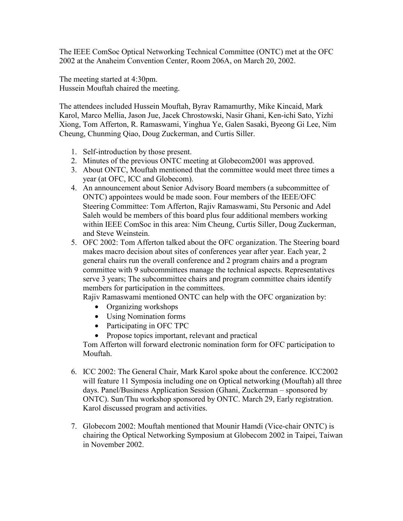The IEEE ComSoc Optical Networking Technical Committee (ONTC) met at the OFC 2002 at the Anaheim Convention Center, Room 206A, on March 20, 2002.

The meeting started at 4:30pm. Hussein Mouftah chaired the meeting.

The attendees included Hussein Mouftah, Byrav Ramamurthy, Mike Kincaid, Mark Karol, Marco Mellia, Jason Jue, Jacek Chrostowski, Nasir Ghani, Ken-ichi Sato, Yizhi Xiong, Tom Afferton, R. Ramaswami, Yinghua Ye, Galen Sasaki, Byeong Gi Lee, Nim Cheung, Chunming Qiao, Doug Zuckerman, and Curtis Siller.

- 1. Self-introduction by those present.
- 2. Minutes of the previous ONTC meeting at Globecom2001 was approved.
- 3. About ONTC, Mouftah mentioned that the committee would meet three times a year (at OFC, ICC and Globecom).
- 4. An announcement about Senior Advisory Board members (a subcommittee of ONTC) appointees would be made soon. Four members of the IEEE/OFC Steering Committee: Tom Afferton, Rajiv Ramaswami, Stu Personic and Adel Saleh would be members of this board plus four additional members working within IEEE ComSoc in this area: Nim Cheung, Curtis Siller, Doug Zuckerman, and Steve Weinstein.
- 5. OFC 2002: Tom Afferton talked about the OFC organization. The Steering board makes macro decision about sites of conferences year after year. Each year, 2 general chairs run the overall conference and 2 program chairs and a program committee with 9 subcommittees manage the technical aspects. Representatives serve 3 years; The subcommittee chairs and program committee chairs identify members for participation in the committees.

Rajiv Ramaswami mentioned ONTC can help with the OFC organization by:

- Organizing workshops
- Using Nomination forms
- Participating in OFC TPC
- Propose topics important, relevant and practical

Tom Afferton will forward electronic nomination form for OFC participation to Mouftah.

- 6. ICC 2002: The General Chair, Mark Karol spoke about the conference. ICC2002 will feature 11 Symposia including one on Optical networking (Mouftah) all three days. Panel/Business Application Session (Ghani, Zuckerman – sponsored by ONTC). Sun/Thu workshop sponsored by ONTC. March 29, Early registration. Karol discussed program and activities.
- 7. Globecom 2002: Mouftah mentioned that Mounir Hamdi (Vice-chair ONTC) is chairing the Optical Networking Symposium at Globecom 2002 in Taipei, Taiwan in November 2002.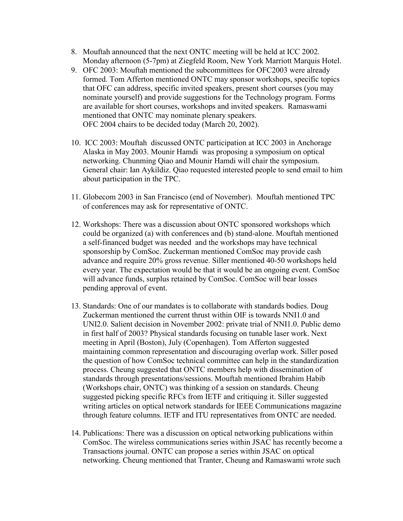- 8. Mouftah announced that the next ONTC meeting will be held at ICC 2002. Monday afternoon (5-7pm) at Ziegfeld Room, New York Marriott Marquis Hotel.
- 9. OFC 2003: Mouftah mentioned the subcommittees for OFC2003 were already formed. Tom Afferton mentioned ONTC may sponsor workshops, specific topics that OFC can address, specific invited speakers, present short courses (you may nominate yourself) and provide suggestions for the Technology program. Forms are available for short courses, workshops and invited speakers. Ramaswami mentioned that ONTC may nominate plenary speakers. OFC 2004 chairs to be decided today (March 20, 2002).
- 10. ICC 2003: Mouftah discussed ONTC participation at ICC 2003 in Anchorage Alaska in May 2003. Mounir Hamdi was proposing a symposium on optical networking. Chunming Qiao and Mounir Hamdi will chair the symposium. General chair: Ian Aykildiz. Qiao requested interested people to send email to him about participation in the TPC.
- 11. Globecom 2003 in San Francisco (end of November). Mouftah mentioned TPC of conferences may ask for representative of ONTC.
- 12. Workshops: There was a discussion about ONTC sponsored workshops which could be organized (a) with conferences and (b) stand-alone. Mouftah mentioned a self-financed budget was needed and the workshops may have technical sponsorship by ComSoc. Zuckerman mentioned ComSoc may provide cash advance and require 20% gross revenue. Siller mentioned 40-50 workshops held every year. The expectation would be that it would be an ongoing event. ComSoc will advance funds, surplus retained by ComSoc. ComSoc will bear losses pending approval of event.
- 13. Standards: One of our mandates is to collaborate with standards bodies. Doug Zuckerman mentioned the current thrust within OIF is towards NNI1.0 and UNI2.0. Salient decision in November 2002: private trial of NNI1.0. Public demo in first half of 2003? Physical standards focusing on tunable laser work. Next meeting in April (Boston), July (Copenhagen). Tom Afferton suggested maintaining common representation and discouraging overlap work. Siller posed the question of how ComSoc technical committee can help in the standardization process. Cheung suggested that ONTC members help with dissemination of standards through presentations/sessions. Mouftah mentioned Ibrahim Habib (Workshops chair, ONTC) was thinking of a session on standards. Cheung suggested picking specific RFCs from IETF and critiquing it. Siller suggested writing articles on optical network standards for IEEE Communications magazine through feature columns. IETF and ITU representatives from ONTC are needed.
- 14. Publications: There was a discussion on optical networking publications within ComSoc. The wireless communications series within JSAC has recently become a Transactions journal. ONTC can propose a series within JSAC on optical networking. Cheung mentioned that Tranter, Cheung and Ramaswami wrote such